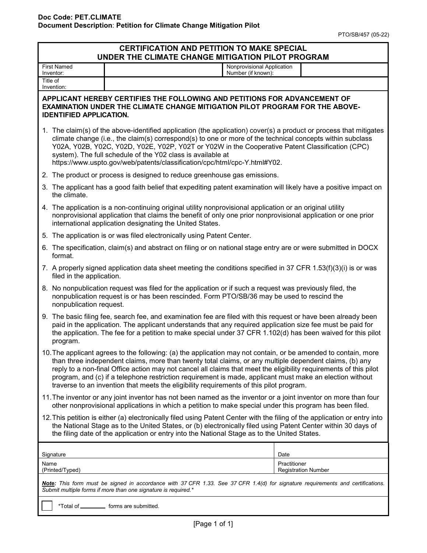| <b>CERTIFICATION AND PETITION TO MAKE SPECIAL</b><br>UNDER THE CLIMATE CHANGE MITIGATION PILOT PROGRAM                                                                                                                                                                                                                                                                                                                                                                                                                                                |                                                                                                                                                                                                                                                                                       |                                            |
|-------------------------------------------------------------------------------------------------------------------------------------------------------------------------------------------------------------------------------------------------------------------------------------------------------------------------------------------------------------------------------------------------------------------------------------------------------------------------------------------------------------------------------------------------------|---------------------------------------------------------------------------------------------------------------------------------------------------------------------------------------------------------------------------------------------------------------------------------------|--------------------------------------------|
| <b>First Named</b><br>Inventor:                                                                                                                                                                                                                                                                                                                                                                                                                                                                                                                       | Nonprovisional Application<br>Number (if known):                                                                                                                                                                                                                                      |                                            |
| Title of<br>Invention:                                                                                                                                                                                                                                                                                                                                                                                                                                                                                                                                |                                                                                                                                                                                                                                                                                       |                                            |
| APPLICANT HEREBY CERTIFIES THE FOLLOWING AND PETITIONS FOR ADVANCEMENT OF<br>EXAMINATION UNDER THE CLIMATE CHANGE MITIGATION PILOT PROGRAM FOR THE ABOVE-<br><b>IDENTIFIED APPLICATION.</b>                                                                                                                                                                                                                                                                                                                                                           |                                                                                                                                                                                                                                                                                       |                                            |
| 1. The claim(s) of the above-identified application (the application) cover(s) a product or process that mitigates<br>climate change (i.e., the claim(s) correspond(s) to one or more of the technical concepts within subclass<br>Y02A, Y02B, Y02C, Y02D, Y02E, Y02P, Y02T or Y02W in the Cooperative Patent Classification (CPC)<br>system). The full schedule of the Y02 class is available at<br>https://www.uspto.gov/web/patents/classification/cpc/html/cpc-Y.html#Y02.                                                                        |                                                                                                                                                                                                                                                                                       |                                            |
|                                                                                                                                                                                                                                                                                                                                                                                                                                                                                                                                                       | 2. The product or process is designed to reduce greenhouse gas emissions.                                                                                                                                                                                                             |                                            |
| 3. The applicant has a good faith belief that expediting patent examination will likely have a positive impact on<br>the climate.                                                                                                                                                                                                                                                                                                                                                                                                                     |                                                                                                                                                                                                                                                                                       |                                            |
|                                                                                                                                                                                                                                                                                                                                                                                                                                                                                                                                                       | 4. The application is a non-continuing original utility nonprovisional application or an original utility<br>nonprovisional application that claims the benefit of only one prior nonprovisional application or one prior<br>international application designating the United States. |                                            |
|                                                                                                                                                                                                                                                                                                                                                                                                                                                                                                                                                       | 5. The application is or was filed electronically using Patent Center.                                                                                                                                                                                                                |                                            |
| format.                                                                                                                                                                                                                                                                                                                                                                                                                                                                                                                                               | 6. The specification, claim(s) and abstract on filing or on national stage entry are or were submitted in DOCX                                                                                                                                                                        |                                            |
|                                                                                                                                                                                                                                                                                                                                                                                                                                                                                                                                                       | 7. A properly signed application data sheet meeting the conditions specified in 37 CFR 1.53(f)(3)(i) is or was<br>filed in the application.                                                                                                                                           |                                            |
| 8. No nonpublication request was filed for the application or if such a request was previously filed, the<br>nonpublication request is or has been rescinded. Form PTO/SB/36 may be used to rescind the<br>nonpublication request.                                                                                                                                                                                                                                                                                                                    |                                                                                                                                                                                                                                                                                       |                                            |
| 9. The basic filing fee, search fee, and examination fee are filed with this request or have been already been<br>paid in the application. The applicant understands that any required application size fee must be paid for<br>the application. The fee for a petition to make special under 37 CFR 1.102(d) has been waived for this pilot<br>program.                                                                                                                                                                                              |                                                                                                                                                                                                                                                                                       |                                            |
| 10. The applicant agrees to the following: (a) the application may not contain, or be amended to contain, more<br>than three independent claims, more than twenty total claims, or any multiple dependent claims, (b) any<br>reply to a non-final Office action may not cancel all claims that meet the eligibility requirements of this pilot<br>program, and (c) if a telephone restriction requirement is made, applicant must make an election without<br>traverse to an invention that meets the eligibility requirements of this pilot program. |                                                                                                                                                                                                                                                                                       |                                            |
| 11. The inventor or any joint inventor has not been named as the inventor or a joint inventor on more than four<br>other nonprovisional applications in which a petition to make special under this program has been filed.                                                                                                                                                                                                                                                                                                                           |                                                                                                                                                                                                                                                                                       |                                            |
| 12. This petition is either (a) electronically filed using Patent Center with the filing of the application or entry into<br>the National Stage as to the United States, or (b) electronically filed using Patent Center within 30 days of<br>the filing date of the application or entry into the National Stage as to the United States.                                                                                                                                                                                                            |                                                                                                                                                                                                                                                                                       |                                            |
| Signature                                                                                                                                                                                                                                                                                                                                                                                                                                                                                                                                             |                                                                                                                                                                                                                                                                                       | Date                                       |
| Name<br>(Printed/Typed)                                                                                                                                                                                                                                                                                                                                                                                                                                                                                                                               |                                                                                                                                                                                                                                                                                       | Practitioner<br><b>Registration Number</b> |
| Note: This form must be signed in accordance with 37 CFR 1.33. See 37 CFR 1.4(d) for signature requirements and certifications.<br>Submit multiple forms if more than one signature is required.*                                                                                                                                                                                                                                                                                                                                                     |                                                                                                                                                                                                                                                                                       |                                            |
| *Total of ____________ forms are submitted.                                                                                                                                                                                                                                                                                                                                                                                                                                                                                                           |                                                                                                                                                                                                                                                                                       |                                            |